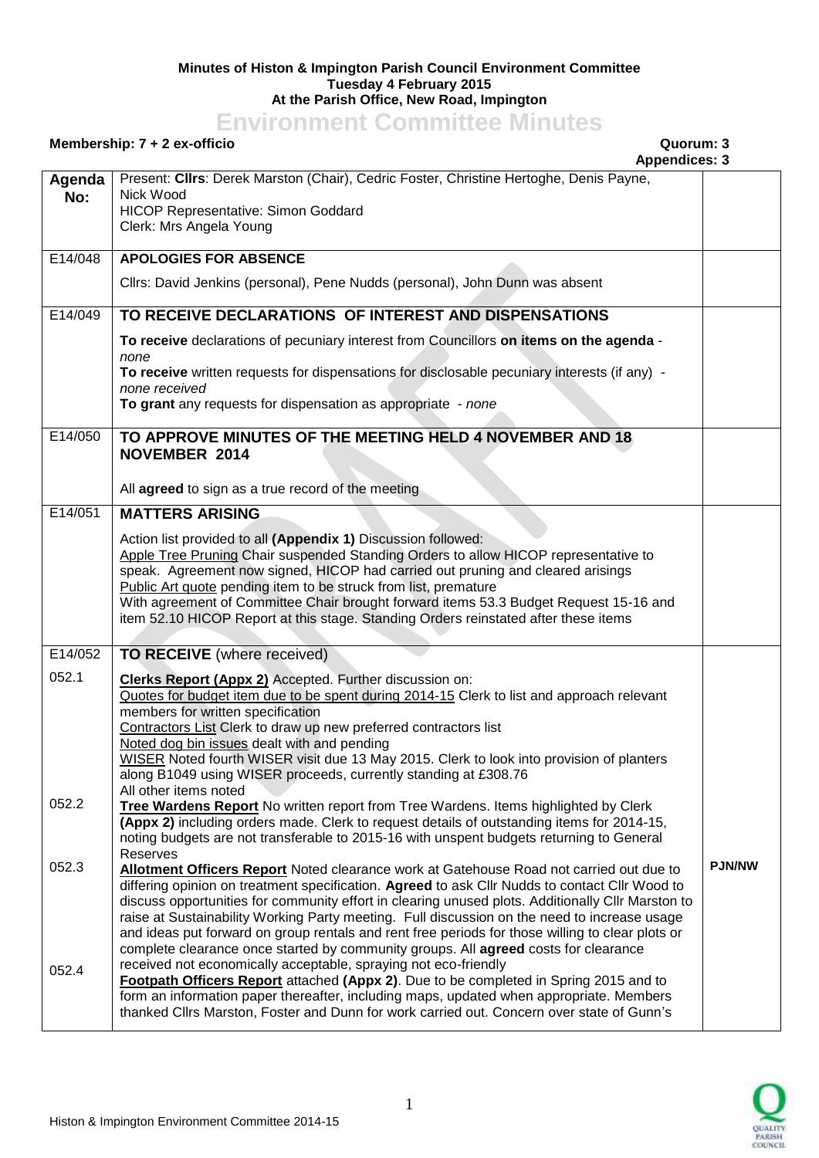## **Minutes of Histon & Impington Parish Council Environment Committee Tuesday 4 February 2015 At the Parish Office, New Road, Impington**

## **Environment Committee Minutes**

## **Membership: 7 + 2 ex-officio Quorum: 3**

**Appendices: 3**

|               | <b>Appendices: 3</b>                                                                                                                                                                                                                                                                                                                                                                                                                                                                                                                        |               |
|---------------|---------------------------------------------------------------------------------------------------------------------------------------------------------------------------------------------------------------------------------------------------------------------------------------------------------------------------------------------------------------------------------------------------------------------------------------------------------------------------------------------------------------------------------------------|---------------|
| Agenda<br>No: | Present: Clirs: Derek Marston (Chair), Cedric Foster, Christine Hertoghe, Denis Payne,<br>Nick Wood<br>HICOP Representative: Simon Goddard<br>Clerk: Mrs Angela Young                                                                                                                                                                                                                                                                                                                                                                       |               |
| E14/048       | <b>APOLOGIES FOR ABSENCE</b>                                                                                                                                                                                                                                                                                                                                                                                                                                                                                                                |               |
|               | Cllrs: David Jenkins (personal), Pene Nudds (personal), John Dunn was absent                                                                                                                                                                                                                                                                                                                                                                                                                                                                |               |
| E14/049       | TO RECEIVE DECLARATIONS OF INTEREST AND DISPENSATIONS                                                                                                                                                                                                                                                                                                                                                                                                                                                                                       |               |
|               | To receive declarations of pecuniary interest from Councillors on items on the agenda -<br>none                                                                                                                                                                                                                                                                                                                                                                                                                                             |               |
|               | To receive written requests for dispensations for disclosable pecuniary interests (if any) -<br>none received                                                                                                                                                                                                                                                                                                                                                                                                                               |               |
|               | To grant any requests for dispensation as appropriate - none                                                                                                                                                                                                                                                                                                                                                                                                                                                                                |               |
| E14/050       | TO APPROVE MINUTES OF THE MEETING HELD 4 NOVEMBER AND 18<br>NOVEMBER 2014                                                                                                                                                                                                                                                                                                                                                                                                                                                                   |               |
|               | All agreed to sign as a true record of the meeting                                                                                                                                                                                                                                                                                                                                                                                                                                                                                          |               |
| E14/051       | <b>MATTERS ARISING</b>                                                                                                                                                                                                                                                                                                                                                                                                                                                                                                                      |               |
|               | Action list provided to all (Appendix 1) Discussion followed:<br>Apple Tree Pruning Chair suspended Standing Orders to allow HICOP representative to<br>speak. Agreement now signed, HICOP had carried out pruning and cleared arisings<br>Public Art quote pending item to be struck from list, premature<br>With agreement of Committee Chair brought forward items 53.3 Budget Request 15-16 and<br>item 52.10 HICOP Report at this stage. Standing Orders reinstated after these items                                                  |               |
| E14/052       | TO RECEIVE (where received)                                                                                                                                                                                                                                                                                                                                                                                                                                                                                                                 |               |
| 052.1         | <b>Clerks Report (Appx 2)</b> Accepted. Further discussion on:<br>Quotes for budget item due to be spent during 2014-15 Clerk to list and approach relevant<br>members for written specification<br>Contractors List Clerk to draw up new preferred contractors list<br>Noted dog bin issues dealt with and pending<br>WISER Noted fourth WISER visit due 13 May 2015. Clerk to look into provision of planters<br>along B1049 using WISER proceeds, currently standing at £308.76<br>All other items noted                                 |               |
| 052.2         | Tree Wardens Report No written report from Tree Wardens. Items highlighted by Clerk<br>(Appx 2) including orders made. Clerk to request details of outstanding items for 2014-15,<br>noting budgets are not transferable to 2015-16 with unspent budgets returning to General                                                                                                                                                                                                                                                               |               |
| 052.3         | Reserves<br>Allotment Officers Report Noted clearance work at Gatehouse Road not carried out due to<br>differing opinion on treatment specification. Agreed to ask Cllr Nudds to contact Cllr Wood to<br>discuss opportunities for community effort in clearing unused plots. Additionally Cllr Marston to<br>raise at Sustainability Working Party meeting. Full discussion on the need to increase usage                                                                                                                                  | <b>PJN/NW</b> |
| 052.4         | and ideas put forward on group rentals and rent free periods for those willing to clear plots or<br>complete clearance once started by community groups. All agreed costs for clearance<br>received not economically acceptable, spraying not eco-friendly<br>Footpath Officers Report attached (Appx 2). Due to be completed in Spring 2015 and to<br>form an information paper thereafter, including maps, updated when appropriate. Members<br>thanked Clirs Marston, Foster and Dunn for work carried out. Concern over state of Gunn's |               |

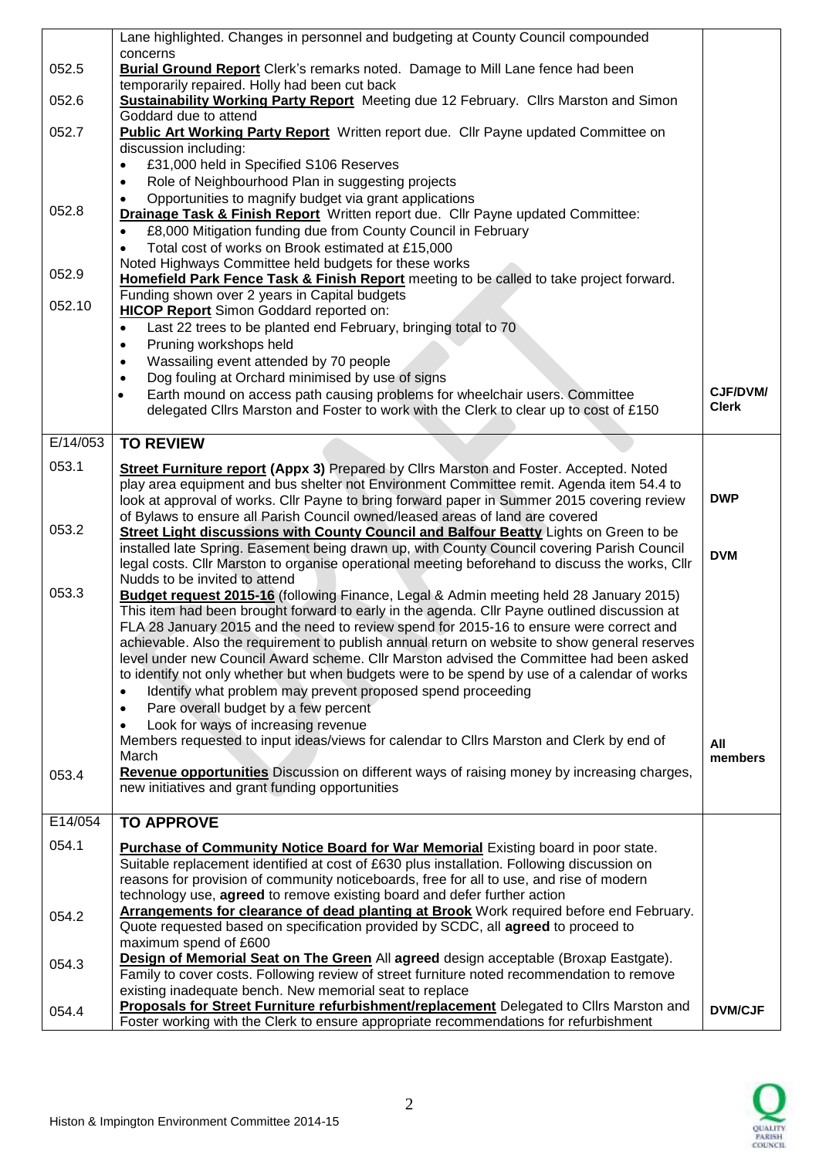|          | Lane highlighted. Changes in personnel and budgeting at County Council compounded                                                                                                       |                |
|----------|-----------------------------------------------------------------------------------------------------------------------------------------------------------------------------------------|----------------|
| 052.5    | concerns<br><b>Burial Ground Report</b> Clerk's remarks noted. Damage to Mill Lane fence had been                                                                                       |                |
|          | temporarily repaired. Holly had been cut back                                                                                                                                           |                |
| 052.6    | <b>Sustainability Working Party Report</b> Meeting due 12 February. Cllrs Marston and Simon                                                                                             |                |
|          | Goddard due to attend                                                                                                                                                                   |                |
| 052.7    | <b>Public Art Working Party Report</b> Written report due. Cllr Payne updated Committee on<br>discussion including:                                                                     |                |
|          | £31,000 held in Specified S106 Reserves                                                                                                                                                 |                |
|          | Role of Neighbourhood Plan in suggesting projects                                                                                                                                       |                |
|          | Opportunities to magnify budget via grant applications                                                                                                                                  |                |
| 052.8    | Drainage Task & Finish Report Written report due. Cllr Payne updated Committee:                                                                                                         |                |
|          | £8,000 Mitigation funding due from County Council in February<br>Total cost of works on Brook estimated at £15,000                                                                      |                |
|          | Noted Highways Committee held budgets for these works                                                                                                                                   |                |
| 052.9    | Homefield Park Fence Task & Finish Report meeting to be called to take project forward.                                                                                                 |                |
| 052.10   | Funding shown over 2 years in Capital budgets                                                                                                                                           |                |
|          | <b>HICOP Report</b> Simon Goddard reported on:                                                                                                                                          |                |
|          | Last 22 trees to be planted end February, bringing total to 70<br>$\bullet$<br>Pruning workshops held                                                                                   |                |
|          | $\bullet$<br>Wassailing event attended by 70 people<br>$\bullet$                                                                                                                        |                |
|          | Dog fouling at Orchard minimised by use of signs<br>$\bullet$                                                                                                                           |                |
|          | Earth mound on access path causing problems for wheelchair users. Committee                                                                                                             | CJF/DVM/       |
|          | delegated Clirs Marston and Foster to work with the Clerk to clear up to cost of £150                                                                                                   | <b>Clerk</b>   |
| E/14/053 | <b>TO REVIEW</b>                                                                                                                                                                        |                |
|          |                                                                                                                                                                                         |                |
| 053.1    | Street Furniture report (Appx 3) Prepared by Cllrs Marston and Foster. Accepted. Noted                                                                                                  |                |
|          | play area equipment and bus shelter not Environment Committee remit. Agenda item 54.4 to<br>look at approval of works. Cllr Payne to bring forward paper in Summer 2015 covering review | <b>DWP</b>     |
|          | of Bylaws to ensure all Parish Council owned/leased areas of land are covered                                                                                                           |                |
| 053.2    | Street Light discussions with County Council and Balfour Beatty Lights on Green to be                                                                                                   |                |
|          | installed late Spring. Easement being drawn up, with County Council covering Parish Council                                                                                             | <b>DVM</b>     |
|          | legal costs. Cllr Marston to organise operational meeting beforehand to discuss the works, Cllr<br>Nudds to be invited to attend                                                        |                |
| 053.3    | Budget request 2015-16 (following Finance, Legal & Admin meeting held 28 January 2015)                                                                                                  |                |
|          | This item had been brought forward to early in the agenda. Cllr Payne outlined discussion at                                                                                            |                |
|          | FLA 28 January 2015 and the need to review spend for 2015-16 to ensure were correct and                                                                                                 |                |
|          | achievable. Also the requirement to publish annual return on website to show general reserves                                                                                           |                |
|          | level under new Council Award scheme. Cllr Marston advised the Committee had been asked<br>to identify not only whether but when budgets were to be spend by use of a calendar of works |                |
|          | Identify what problem may prevent proposed spend proceeding<br>$\bullet$                                                                                                                |                |
|          | Pare overall budget by a few percent<br>$\bullet$                                                                                                                                       |                |
|          | Look for ways of increasing revenue                                                                                                                                                     |                |
|          | Members requested to input ideas/views for calendar to Cllrs Marston and Clerk by end of                                                                                                | All            |
|          | March<br>Revenue opportunities Discussion on different ways of raising money by increasing charges,                                                                                     | members        |
| 053.4    | new initiatives and grant funding opportunities                                                                                                                                         |                |
|          |                                                                                                                                                                                         |                |
| E14/054  | <b>TO APPROVE</b>                                                                                                                                                                       |                |
| 054.1    | Purchase of Community Notice Board for War Memorial Existing board in poor state.                                                                                                       |                |
|          | Suitable replacement identified at cost of £630 plus installation. Following discussion on                                                                                              |                |
|          | reasons for provision of community noticeboards, free for all to use, and rise of modern                                                                                                |                |
|          | technology use, agreed to remove existing board and defer further action<br>Arrangements for clearance of dead planting at Brook Work required before end February.                     |                |
| 054.2    | Quote requested based on specification provided by SCDC, all agreed to proceed to                                                                                                       |                |
|          | maximum spend of £600                                                                                                                                                                   |                |
| 054.3    | Design of Memorial Seat on The Green All agreed design acceptable (Broxap Eastgate).                                                                                                    |                |
|          | Family to cover costs. Following review of street furniture noted recommendation to remove                                                                                              |                |
|          | existing inadequate bench. New memorial seat to replace<br>Proposals for Street Furniture refurbishment/replacement Delegated to Clirs Marston and                                      |                |
| 054.4    | Foster working with the Clerk to ensure appropriate recommendations for refurbishment                                                                                                   | <b>DVM/CJF</b> |